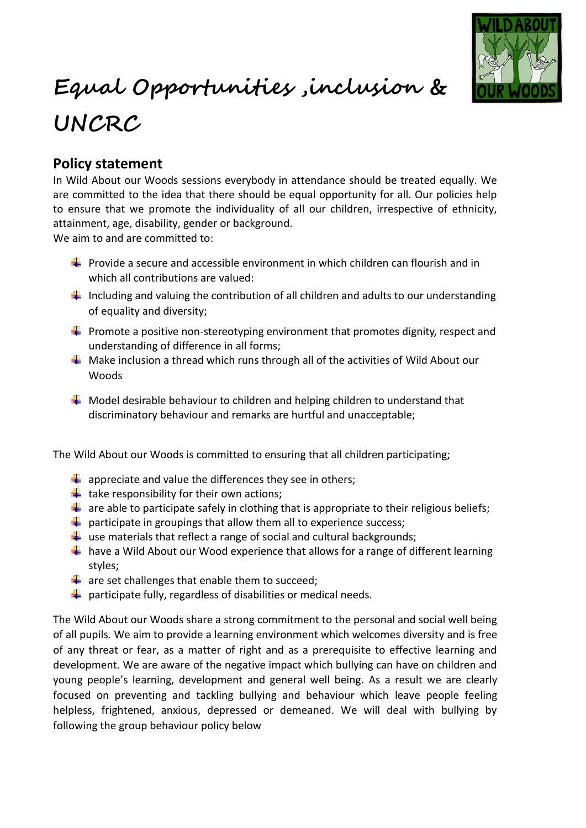

## **Equal Opportunities ,inclusion & UNCRC**

## **Policy statement**

In Wild About our Woods sessions everybody in attendance should be treated equally. We are committed to the idea that there should be equal opportunity for all. Our policies help to ensure that we promote the individuality of all our children, irrespective of ethnicity, attainment, age, disability, gender or background.

We aim to and are committed to:

- **Provide a secure and accessible environment in which children can flourish and in** which all contributions are valued:
- $\downarrow$  Including and valuing the contribution of all children and adults to our understanding of equality and diversity;
- $\downarrow$  Promote a positive non-stereotyping environment that promotes dignity, respect and understanding of difference in all forms;
- $\ddot{+}$  Make inclusion a thread which runs through all of the activities of Wild About our Woods
- $\ddot{\bullet}$  Model desirable behaviour to children and helping children to understand that discriminatory behaviour and remarks are hurtful and unacceptable;

The Wild About our Woods is committed to ensuring that all children participating;

- $\downarrow$  appreciate and value the differences they see in others;
- $\ddot{+}$  take responsibility for their own actions;
- $\downarrow$  are able to participate safely in clothing that is appropriate to their religious beliefs;
- $\downarrow$  participate in groupings that allow them all to experience success;
- $\downarrow$  use materials that reflect a range of social and cultural backgrounds;
- $\downarrow$  have a Wild About our Wood experience that allows for a range of different learning styles;
- $\frac{1}{2}$  are set challenges that enable them to succeed;
- $\downarrow$  participate fully, regardless of disabilities or medical needs.

The Wild About our Woods share a strong commitment to the personal and social well being of all pupils. We aim to provide a learning environment which welcomes diversity and is free of any threat or fear, as a matter of right and as a prerequisite to effective learning and development. We are aware of the negative impact which bullying can have on children and young people's learning, development and general well being. As a result we are clearly focused on preventing and tackling bullying and behaviour which leave people feeling helpless, frightened, anxious, depressed or demeaned. We will deal with bullying by following the group behaviour policy below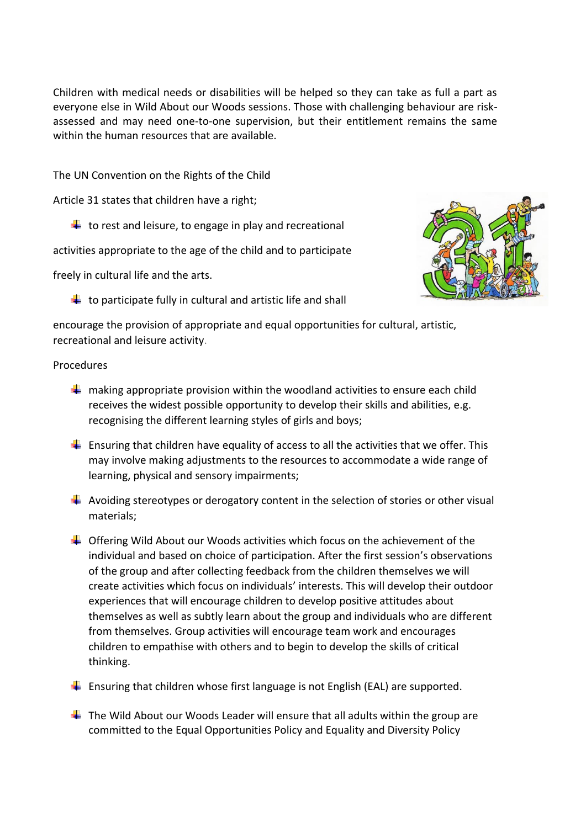Children with medical needs or disabilities will be helped so they can take as full a part as everyone else in Wild About our Woods sessions. Those with challenging behaviour are riskassessed and may need one-to-one supervision, but their entitlement remains the same within the human resources that are available.

The UN Convention on the Rights of the Child

Article 31 states that children have a right;

 $\downarrow$  to rest and leisure, to engage in play and recreational

activities appropriate to the age of the child and to participate

freely in cultural life and the arts.

 $\ddot{\phantom{a}}$  to participate fully in cultural and artistic life and shall



encourage the provision of appropriate and equal opportunities for cultural, artistic, recreational and leisure activity.

## Procedures

- $\frac{1}{\sqrt{1}}$  making appropriate provision within the woodland activities to ensure each child receives the widest possible opportunity to develop their skills and abilities, e.g. recognising the different learning styles of girls and boys;
- $\downarrow$  Ensuring that children have equality of access to all the activities that we offer. This may involve making adjustments to the resources to accommodate a wide range of learning, physical and sensory impairments;
- $\downarrow$  Avoiding stereotypes or derogatory content in the selection of stories or other visual materials;
- $\ddot{\bullet}$  Offering Wild About our Woods activities which focus on the achievement of the individual and based on choice of participation. After the first session's observations of the group and after collecting feedback from the children themselves we will create activities which focus on individuals' interests. This will develop their outdoor experiences that will encourage children to develop positive attitudes about themselves as well as subtly learn about the group and individuals who are different from themselves. Group activities will encourage team work and encourages children to empathise with others and to begin to develop the skills of critical thinking.
- $\ddot{+}$  Ensuring that children whose first language is not English (EAL) are supported.
- $\ddot$  The Wild About our Woods Leader will ensure that all adults within the group are committed to the Equal Opportunities Policy and Equality and Diversity Policy